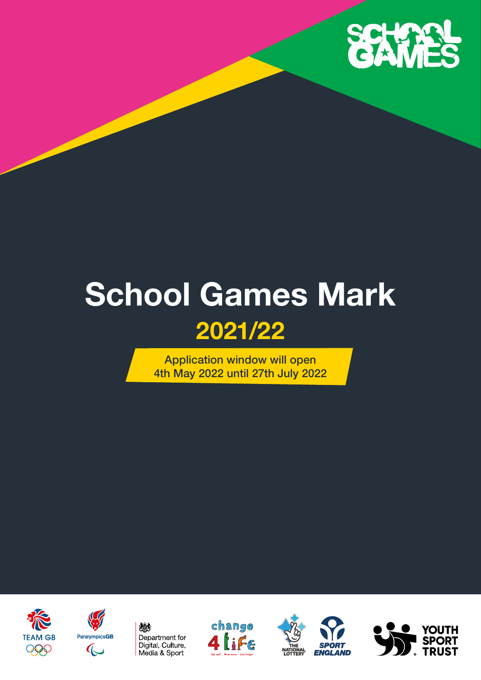

# **School Games Mark 2021/22**

Application window will open 4th May 2022 until 27th July 2022











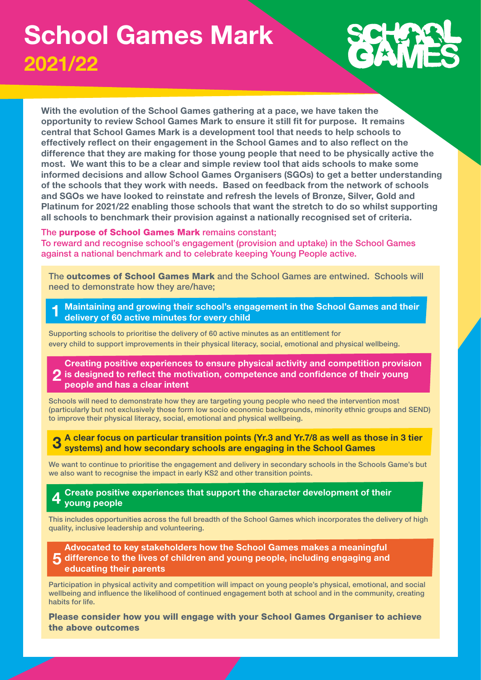### **School Games Mark 2021/22**

**With the evolution of the School Games gathering at a pace, we have taken the opportunity to review School Games Mark to ensure it still fit for purpose. It remains central that School Games Mark is a development tool that needs to help schools to effectively reflect on their engagement in the School Games and to also reflect on the difference that they are making for those young people that need to be physically active the most. We want this to be a clear and simple review tool that aids schools to make some informed decisions and allow School Games Organisers (SGOs) to get a better understanding of the schools that they work with needs. Based on feedback from the network of schools and SGOs we have looked to reinstate and refresh the levels of Bronze, Silver, Gold and Platinum for 2021/22 enabling those schools that want the stretch to do so whilst supporting all schools to benchmark their provision against a nationally recognised set of criteria.**

### The purpose of School Games Mark remains constant;

To reward and recognise school's engagement (provision and uptake) in the School Games against a national benchmark and to celebrate keeping Young People active.

The outcomes of School Games Mark and the School Games are entwined. Schools will need to demonstrate how they are/have;

**1 Maintaining and growing their school's engagement in the School Games and their delivery of 60 active minutes for every child** 

Supporting schools to prioritise the delivery of 60 active minutes as an entitlement for every child to support improvements in their physical literacy, social, emotional and physical wellbeing.

### **2 is designed to reflect the motivation, competence and confidence of their young Creating positive experiences to ensure physical activity and competition provision people and has a clear intent**

Schools will need to demonstrate how they are targeting young people who need the intervention most (particularly but not exclusively those form low socio economic backgrounds, minority ethnic groups and SEND) to improve their physical literacy, social, emotional and physical wellbeing.

**3 A clear focus on particular transition points (Yr.3 and Yr.7/8 as well as those in 3 tier systems) and how secondary schools are engaging in the School Games** 

We want to continue to prioritise the engagement and delivery in secondary schools in the Schools Game's but we also want to recognise the impact in early KS2 and other transition points.

#### **4 Create positive experiences that support the character development of their young people**

This includes opportunities across the full breadth of the School Games which incorporates the delivery of high quality, inclusive leadership and volunteering.

### **5 difference to the lives of children and young people, including engaging and Advocated to key stakeholders how the School Games makes a meaningful educating their parents**

Participation in physical activity and competition will impact on young people's physical, emotional, and social wellbeing and influence the likelihood of continued engagement both at school and in the community, creating habits for life.

Please consider how you will engage with your School Games Organiser to achieve the above outcomes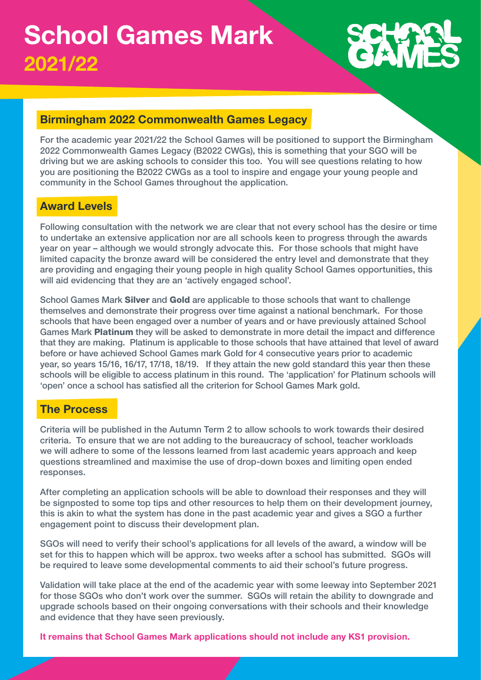### **Birmingham 2022 Commonwealth Games Legacy**

For the academic year 2021/22 the School Games will be positioned to support the Birmingham 2022 Commonwealth Games Legacy (B2022 CWGs), this is something that your SGO will be driving but we are asking schools to consider this too. You will see questions relating to how you are positioning the B2022 CWGs as a tool to inspire and engage your young people and community in the School Games throughout the application.

### **Award Levels**

Following consultation with the network we are clear that not every school has the desire or time to undertake an extensive application nor are all schools keen to progress through the awards year on year – although we would strongly advocate this. For those schools that might have limited capacity the bronze award will be considered the entry level and demonstrate that they are providing and engaging their young people in high quality School Games opportunities, this will aid evidencing that they are an 'actively engaged school'.

School Games Mark Silver and Gold are applicable to those schools that want to challenge themselves and demonstrate their progress over time against a national benchmark. For those schools that have been engaged over a number of years and or have previously attained School Games Mark Platinum they will be asked to demonstrate in more detail the impact and difference that they are making. Platinum is applicable to those schools that have attained that level of award before or have achieved School Games mark Gold for 4 consecutive years prior to academic year, so years 15/16, 16/17, 17/18, 18/19. If they attain the new gold standard this year then these schools will be eligible to access platinum in this round. The 'application' for Platinum schools will 'open' once a school has satisfied all the criterion for School Games Mark gold.

### **The Process**

Criteria will be published in the Autumn Term 2 to allow schools to work towards their desired criteria. To ensure that we are not adding to the bureaucracy of school, teacher workloads we will adhere to some of the lessons learned from last academic years approach and keep questions streamlined and maximise the use of drop-down boxes and limiting open ended responses.

After completing an application schools will be able to download their responses and they will be signposted to some top tips and other resources to help them on their development journey, this is akin to what the system has done in the past academic year and gives a SGO a further engagement point to discuss their development plan.

SGOs will need to verify their school's applications for all levels of the award, a window will be set for this to happen which will be approx. two weeks after a school has submitted. SGOs will be required to leave some developmental comments to aid their school's future progress.

Validation will take place at the end of the academic year with some leeway into September 2021 for those SGOs who don't work over the summer. SGOs will retain the ability to downgrade and upgrade schools based on their ongoing conversations with their schools and their knowledge and evidence that they have seen previously.

**It remains that School Games Mark applications should not include any KS1 provision.**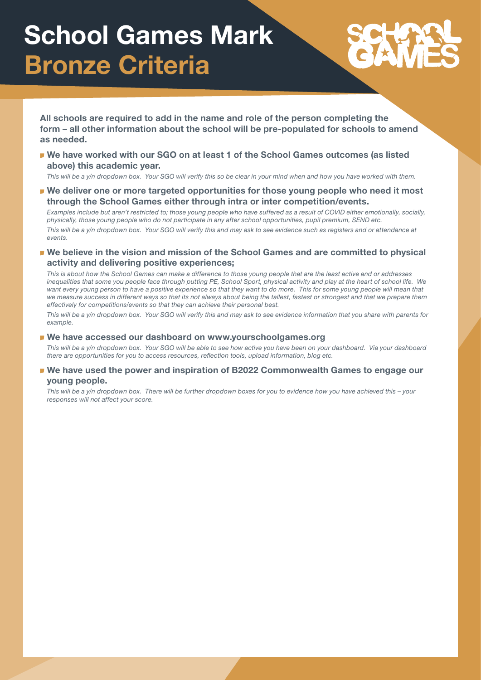# **School Games Mark Bronze Criteria**

**All schools are required to add in the name and role of the person completing the form – all other information about the school will be pre-populated for schools to amend as needed.**

**We have worked with our SGO on at least 1 of the School Games outcomes (as listed above) this academic year.**

*This will be a y/n dropdown box. Your SGO will verify this so be clear in your mind when and how you have worked with them.*

**We deliver one or more targeted opportunities for those young people who need it most through the School Games either through intra or inter competition/events.**

*Examples include but aren't restricted to; those young people who have suffered as a result of COVID either emotionally, socially, physically, those young people who do not participate in any after school opportunities, pupil premium, SEND etc.*

*This will be a y/n dropdown box. Your SGO will verify this and may ask to see evidence such as registers and or attendance at events.*

**We believe in the vision and mission of the School Games and are committed to physical activity and delivering positive experiences;**

*This is about how the School Games can make a difference to those young people that are the least active and or addresses inequalities that some you people face through putting PE, School Sport, physical activity and play at the heart of school life. We want every young person to have a positive experience so that they want to do more. This for some young people will mean that we measure success in different ways so that its not always about being the tallest, fastest or strongest and that we prepare them effectively for competitions/events so that they can achieve their personal best.*

*This will be a y/n dropdown box. Your SGO will verify this and may ask to see evidence information that you share with parents for example.*

#### **We have accessed our dashboard on www.yourschoolgames.org**

*This will be a y/n dropdown box. Your SGO will be able to see how active you have been on your dashboard. Via your dashboard there are opportunities for you to access resources, reflection tools, upload information, blog etc.*

### **We have used the power and inspiration of B2022 Commonwealth Games to engage our young people.**

*This will be a y/n dropdown box. There will be further dropdown boxes for you to evidence how you have achieved this – your responses will not affect your score.*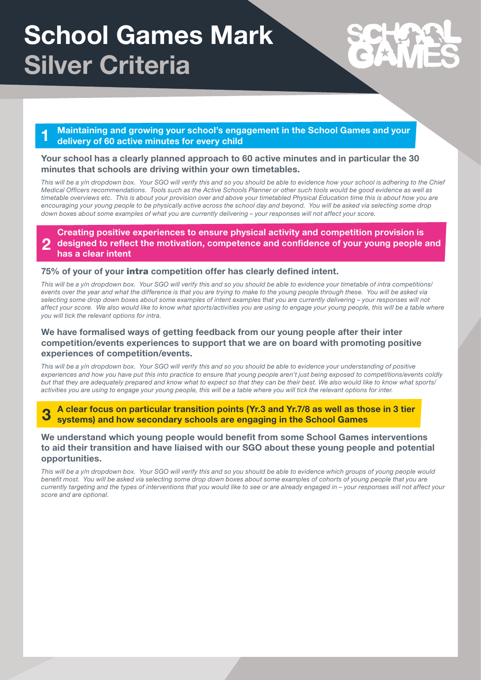# **School Games Mark Silver Criteria**

**1 Maintaining and growing your school's engagement in the School Games and your delivery of 60 active minutes for every child** 

### **Your school has a clearly planned approach to 60 active minutes and in particular the 30 minutes that schools are driving within your own timetables.**

*This will be a y/n dropdown box. Your SGO will verify this and so you should be able to evidence how your school is adhering to the Chief Medical Officers recommendations. Tools such as the Active Schools Planner or other such tools would be good evidence as well as timetable overviews etc. This is about your provision over and above your timetabled Physical Education time this is about how you are encouraging your young people to be physically active across the school day and beyond. You will be asked via selecting some drop down boxes about some examples of what you are currently delivering – your responses will not affect your score.*

**2 Creating positive experiences to ensure physical activity and competition provision is designed to reflect the motivation, competence and confidence of your young people and has a clear intent** 

### **75% of your of your** intra **competition offer has clearly defined intent.**

*This will be a y/n dropdown box. Your SGO will verify this and so you should be able to evidence your timetable of intra competitions/ events over the year and what the difference is that you are trying to make to the young people through these. You will be asked via selecting some drop down boxes about some examples of intent examples that you are currently delivering – your responses will not affect your score. We also would like to know what sports/activities you are using to engage your young people, this will be a table where you will tick the relevant options for intra.*

### **We have formalised ways of getting feedback from our young people after their inter competition/events experiences to support that we are on board with promoting positive experiences of competition/events.**

This will be a y/n dropdown box. Your SGO will verify this and so you should be able to evidence your understanding of positive *experiences and how you have put this into practice to ensure that young people aren't just being exposed to competitions/events coldly but that they are adequately prepared and know what to expect so that they can be their best. We also would like to know what sports/ activities you are using to engage your young people, this will be a table where you will tick the relevant options for inter.*

**3 A clear focus on particular transition points (Yr.3 and Yr.7/8 as well as those in 3 tier systems) and how secondary schools are engaging in the School Games** 

### **We understand which young people would benefit from some School Games interventions to aid their transition and have liaised with our SGO about these young people and potential opportunities.**

This will be a y/n dropdown box. Your SGO will verify this and so you should be able to evidence which groups of young people would *benefit most. You will be asked via selecting some drop down boxes about some examples of cohorts of young people that you are currently targeting and the types of interventions that you would like to see or are already engaged in – your responses will not affect your score and are optional.*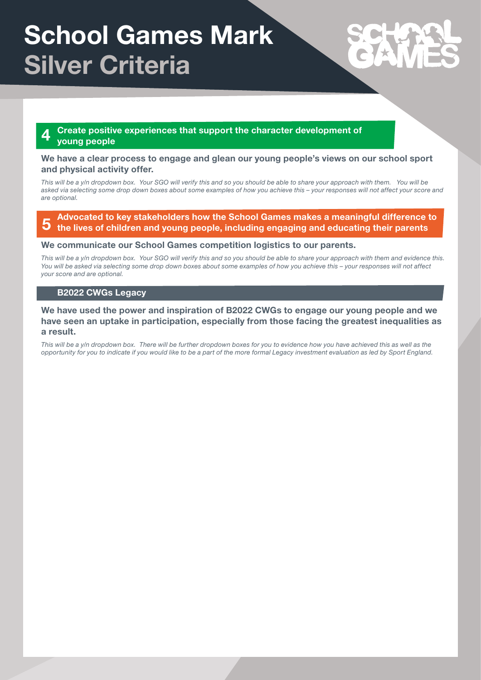# **School Games Mark Silver Criteria**

#### **4 Create positive experiences that support the character development of young people**

### **We have a clear process to engage and glean our young people's views on our school sport and physical activity offer.**

*This will be a y/n dropdown box. Your SGO will verify this and so you should be able to share your approach with them. You will be asked via selecting some drop down boxes about some examples of how you achieve this – your responses will not affect your score and are optional.*

**5 Advocated to key stakeholders how the School Games makes a meaningful difference to the lives of children and young people, including engaging and educating their parents** 

#### **We communicate our School Games competition logistics to our parents.**

*This will be a y/n dropdown box. Your SGO will verify this and so you should be able to share your approach with them and evidence this. You will be asked via selecting some drop down boxes about some examples of how you achieve this – your responses will not affect your score and are optional.*

### **B2022 CWGs Legacy**

**We have used the power and inspiration of B2022 CWGs to engage our young people and we have seen an uptake in participation, especially from those facing the greatest inequalities as a result.**

*This will be a y/n dropdown box. There will be further dropdown boxes for you to evidence how you have achieved this as well as the opportunity for you to indicate if you would like to be a part of the more formal Legacy investment evaluation as led by Sport England.*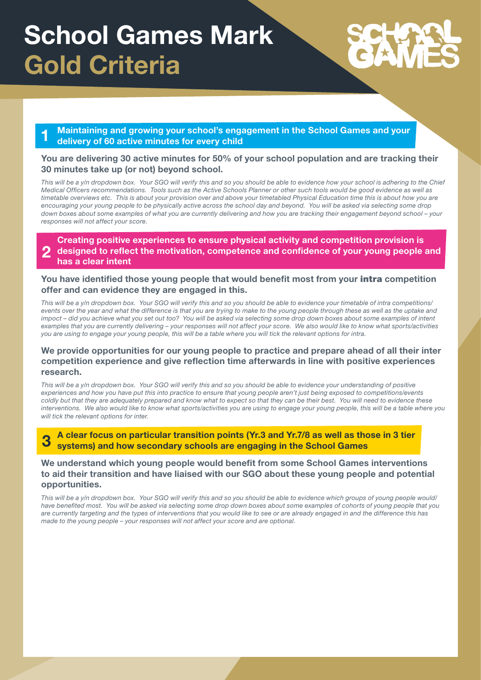# **School Games Mark Gold Criteria**

**1 Maintaining and growing your school's engagement in the School Games and your delivery of 60 active minutes for every child** 

### **You are delivering 30 active minutes for 50% of your school population and are tracking their 30 minutes take up (or not) beyond school.**

*This will be a y/n dropdown box. Your SGO will verify this and so you should be able to evidence how your school is adhering to the Chief Medical Officers recommendations. Tools such as the Active Schools Planner or other such tools would be good evidence as well as timetable overviews etc. This is about your provision over and above your timetabled Physical Education time this is about how you are encouraging your young people to be physically active across the school day and beyond. You will be asked via selecting some drop down boxes about some examples of what you are currently delivering and how you are tracking their engagement beyond school – your responses will not affect your score.*

#### **2 Creating positive experiences to ensure physical activity and competition provision is designed to reflect the motivation, competence and confidence of your young people and has a clear intent**

### **You have identified those young people that would benefit most from your** intra **competition offer and can evidence they are engaged in this.**

*This will be a y/n dropdown box. Your SGO will verify this and so you should be able to evidence your timetable of intra competitions/ events over the year and what the difference is that you are trying to make to the young people through these as well as the uptake and impoct – did you achieve what you set out too? You will be asked via selecting some drop down boxes about some examples of intent examples that you are currently delivering – your responses will not affect your score. We also would like to know what sports/activities you are using to engage your young people, this will be a table where you will tick the relevant options for intra.*

### **We provide opportunities for our young people to practice and prepare ahead of all their inter competition experience and give reflection time afterwards in line with positive experiences research.**

This will be a y/n dropdown box. Your SGO will verify this and so you should be able to evidence your understanding of positive *experiences and how you have put this into practice to ensure that young people aren't just being exposed to competitions/events coldly but that they are adequately prepared and know what to expect so that they can be their best. You will need to evidence these interventions. We also would like to know what sports/activities you are using to engage your young people, this will be a table where you will tick the relevant options for inter.*

#### **3 A clear focus on particular transition points (Yr.3 and Yr.7/8 as well as those in 3 tier systems) and how secondary schools are engaging in the School Games**

### **We understand which young people would benefit from some School Games interventions to aid their transition and have liaised with our SGO about these young people and potential opportunities.**

*This will be a y/n dropdown box. Your SGO will verify this and so you should be able to evidence which groups of young people would/ have benefited most. You will be asked via selecting some drop down boxes about some examples of cohorts of young people that you are currently targeting and the types of interventions that you would like to see or are already engaged in and the difference this has made to the young people – your responses will not affect your score and are optional.*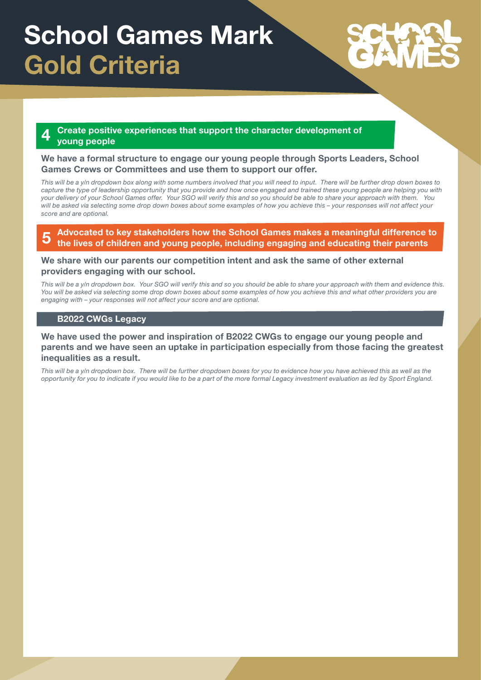# **School Games Mark Gold Criteria**

### **4 Create positive experiences that support the character development of young people**

### **We have a formal structure to engage our young people through Sports Leaders, School Games Crews or Committees and use them to support our offer.**

This will be a y/n dropdown box along with some numbers involved that you will need to input. There will be further drop down boxes to *capture the type of leadership opportunity that you provide and how once engaged and trained these young people are helping you with your delivery of your School Games offer. Your SGO will verify this and so you should be able to share your approach with them. You will be asked via selecting some drop down boxes about some examples of how you achieve this – your responses will not affect your score and are optional.*

#### **5 Advocated to key stakeholders how the School Games makes a meaningful difference to the lives of children and young people, including engaging and educating their parents**

### **We share with our parents our competition intent and ask the same of other external providers engaging with our school.**

*This will be a y/n dropdown box. Your SGO will verify this and so you should be able to share your approach with them and evidence this. You will be asked via selecting some drop down boxes about some examples of how you achieve this and what other providers you are engaging with – your responses will not affect your score and are optional.*

### **B2022 CWGs Legacy**

### **We have used the power and inspiration of B2022 CWGs to engage our young people and parents and we have seen an uptake in participation especially from those facing the greatest inequalities as a result.**

*This will be a y/n dropdown box. There will be further dropdown boxes for you to evidence how you have achieved this as well as the opportunity for you to indicate if you would like to be a part of the more formal Legacy investment evaluation as led by Sport England.*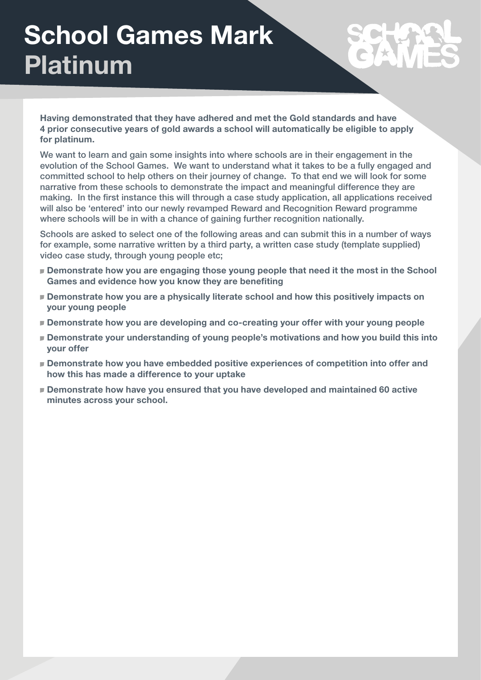# **School Games Mark Platinum**

**Having demonstrated that they have adhered and met the Gold standards and have 4 prior consecutive years of gold awards a school will automatically be eligible to apply for platinum.**

We want to learn and gain some insights into where schools are in their engagement in the evolution of the School Games. We want to understand what it takes to be a fully engaged and committed school to help others on their journey of change. To that end we will look for some narrative from these schools to demonstrate the impact and meaningful difference they are making. In the first instance this will through a case study application, all applications received will also be 'entered' into our newly revamped Reward and Recognition Reward programme where schools will be in with a chance of gaining further recognition nationally.

Schools are asked to select one of the following areas and can submit this in a number of ways for example, some narrative written by a third party, a written case study (template supplied) video case study, through young people etc;

- **Demonstrate how you are engaging those young people that need it the most in the School Games and evidence how you know they are benefiting**
- **Demonstrate how you are a physically literate school and how this positively impacts on your young people**
- **Demonstrate how you are developing and co-creating your offer with your young people**
- **Demonstrate your understanding of young people's motivations and how you build this into your offer**
- **Demonstrate how you have embedded positive experiences of competition into offer and how this has made a difference to your uptake**
- **Demonstrate how have you ensured that you have developed and maintained 60 active minutes across your school.**